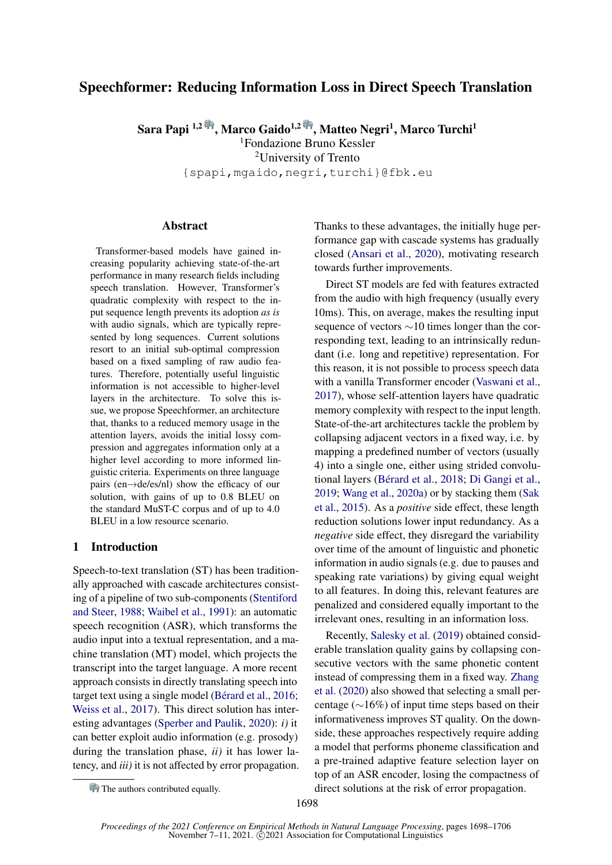# Speechformer: Reducing Information Loss in Direct Speech Translation

Sara Papi <sup>1,2 (</sup>†, Marco Gaido<sup>1,2 (</sup>†, Matteo Negri<sup>1</sup>, Marco Turchi<sup>1</sup> <sup>1</sup>Fondazione Bruno Kessler

<sup>2</sup>University of Trento

{spapi,mgaido,negri,turchi}@fbk.eu

## Abstract

Transformer-based models have gained increasing popularity achieving state-of-the-art performance in many research fields including speech translation. However, Transformer's quadratic complexity with respect to the input sequence length prevents its adoption *as is* with audio signals, which are typically represented by long sequences. Current solutions resort to an initial sub-optimal compression based on a fixed sampling of raw audio features. Therefore, potentially useful linguistic information is not accessible to higher-level layers in the architecture. To solve this issue, we propose Speechformer, an architecture that, thanks to a reduced memory usage in the attention layers, avoids the initial lossy compression and aggregates information only at a higher level according to more informed linguistic criteria. Experiments on three language pairs (en→de/es/nl) show the efficacy of our solution, with gains of up to 0.8 BLEU on the standard MuST-C corpus and of up to 4.0 BLEU in a low resource scenario.

## 1 Introduction

Speech-to-text translation (ST) has been traditionally approached with cascade architectures consisting of a pipeline of two sub-components [\(Stentiford](#page-6-0) [and Steer,](#page-6-0) [1988;](#page-6-0) [Waibel et al.,](#page-6-1) [1991\)](#page-6-1): an automatic speech recognition (ASR), which transforms the audio input into a textual representation, and a machine translation (MT) model, which projects the transcript into the target language. A more recent approach consists in directly translating speech into target text using a single model [\(Bérard et al.,](#page-5-0) [2016;](#page-5-0) [Weiss et al.,](#page-6-2) [2017\)](#page-6-2). This direct solution has interesting advantages [\(Sperber and Paulik,](#page-6-3) [2020\)](#page-6-3): *i)* it can better exploit audio information (e.g. prosody) during the translation phase, *ii)* it has lower latency, and *iii)* it is not affected by error propagation. Thanks to these advantages, the initially huge performance gap with cascade systems has gradually closed [\(Ansari et al.,](#page-5-1) [2020\)](#page-5-1), motivating research towards further improvements.

Direct ST models are fed with features extracted from the audio with high frequency (usually every 10ms). This, on average, makes the resulting input sequence of vectors ∼10 times longer than the corresponding text, leading to an intrinsically redundant (i.e. long and repetitive) representation. For this reason, it is not possible to process speech data with a vanilla Transformer encoder [\(Vaswani et al.,](#page-6-4) [2017\)](#page-6-4), whose self-attention layers have quadratic memory complexity with respect to the input length. State-of-the-art architectures tackle the problem by collapsing adjacent vectors in a fixed way, i.e. by mapping a predefined number of vectors (usually 4) into a single one, either using strided convolutional layers [\(Bérard et al.,](#page-5-2) [2018;](#page-5-2) [Di Gangi et al.,](#page-5-3) [2019;](#page-5-3) [Wang et al.,](#page-6-5) [2020a\)](#page-6-5) or by stacking them [\(Sak](#page-6-6) [et al.,](#page-6-6) [2015\)](#page-6-6). As a *positive* side effect, these length reduction solutions lower input redundancy. As a *negative* side effect, they disregard the variability over time of the amount of linguistic and phonetic information in audio signals (e.g. due to pauses and speaking rate variations) by giving equal weight to all features. In doing this, relevant features are penalized and considered equally important to the irrelevant ones, resulting in an information loss.

Recently, [Salesky et al.](#page-6-7) [\(2019\)](#page-6-7) obtained considerable translation quality gains by collapsing consecutive vectors with the same phonetic content instead of compressing them in a fixed way. [Zhang](#page-6-8) [et al.](#page-6-8) [\(2020\)](#page-6-8) also showed that selecting a small percentage (∼16%) of input time steps based on their informativeness improves ST quality. On the downside, these approaches respectively require adding a model that performs phoneme classification and a pre-trained adaptive feature selection layer on top of an ASR encoder, losing the compactness of direct solutions at the risk of error propagation.

The authors contributed equally.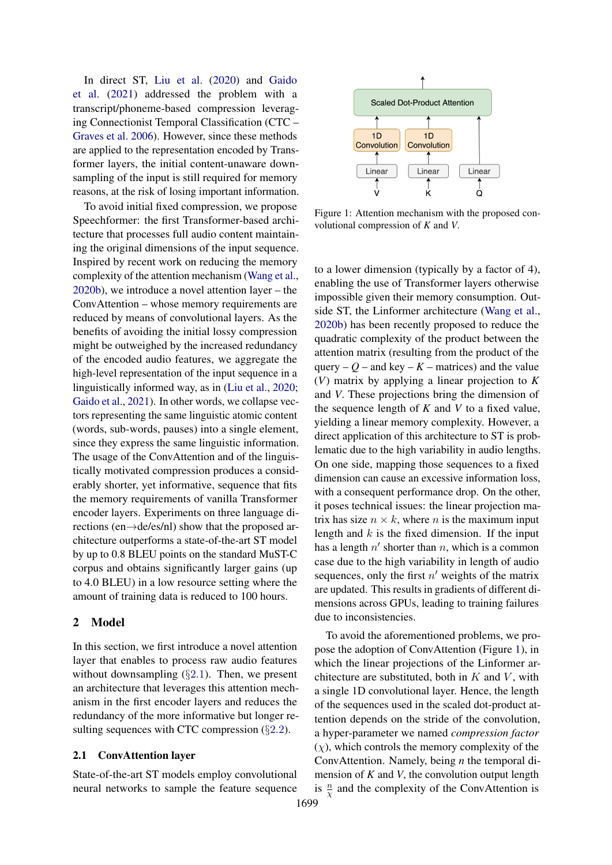In direct ST, [Liu et al.](#page-5-4) [\(2020\)](#page-5-4) and [Gaido](#page-5-5) [et al.](#page-5-5) [\(2021\)](#page-5-5) addressed the problem with a transcript/phoneme-based compression leveraging Connectionist Temporal Classification (CTC – [Graves et al.](#page-5-6) [2006\)](#page-5-6). However, since these methods are applied to the representation encoded by Transformer layers, the initial content-unaware downsampling of the input is still required for memory reasons, at the risk of losing important information.

To avoid initial fixed compression, we propose Speechformer: the first Transformer-based architecture that processes full audio content maintaining the original dimensions of the input sequence. Inspired by recent work on reducing the memory complexity of the attention mechanism [\(Wang et al.,](#page-6-9) [2020b\)](#page-6-9), we introduce a novel attention layer – the ConvAttention – whose memory requirements are reduced by means of convolutional layers. As the benefits of avoiding the initial lossy compression might be outweighed by the increased redundancy of the encoded audio features, we aggregate the high-level representation of the input sequence in a linguistically informed way, as in [\(Liu et al.,](#page-5-4) [2020;](#page-5-4) [Gaido et al.,](#page-5-5) [2021\)](#page-5-5). In other words, we collapse vectors representing the same linguistic atomic content (words, sub-words, pauses) into a single element, since they express the same linguistic information. The usage of the ConvAttention and of the linguistically motivated compression produces a considerably shorter, yet informative, sequence that fits the memory requirements of vanilla Transformer encoder layers. Experiments on three language directions (en→de/es/nl) show that the proposed architecture outperforms a state-of-the-art ST model by up to 0.8 BLEU points on the standard MuST-C corpus and obtains significantly larger gains (up to 4.0 BLEU) in a low resource setting where the amount of training data is reduced to 100 hours.

## 2 Model

In this section, we first introduce a novel attention layer that enables to process raw audio features without downsampling  $(\S 2.1)$  $(\S 2.1)$  $(\S 2.1)$ . Then, we present an architecture that leverages this attention mechanism in the first encoder layers and reduces the redundancy of the more informative but longer resulting sequences with CTC compression  $(\S2.2)$  $(\S2.2)$  $(\S2.2)$ .

#### <span id="page-1-0"></span>2.1 ConvAttention layer

State-of-the-art ST models employ convolutional neural networks to sample the feature sequence

<span id="page-1-1"></span>

Figure 1: Attention mechanism with the proposed convolutional compression of *K* and *V*.

to a lower dimension (typically by a factor of 4), enabling the use of Transformer layers otherwise impossible given their memory consumption. Outside ST, the Linformer architecture [\(Wang et al.,](#page-6-9) [2020b\)](#page-6-9) has been recently proposed to reduce the quadratic complexity of the product between the attention matrix (resulting from the product of the query –  $Q$  – and key –  $K$  – matrices) and the value (*V*) matrix by applying a linear projection to *K* and *V*. These projections bring the dimension of the sequence length of *K* and *V* to a fixed value, yielding a linear memory complexity. However, a direct application of this architecture to ST is problematic due to the high variability in audio lengths. On one side, mapping those sequences to a fixed dimension can cause an excessive information loss, with a consequent performance drop. On the other, it poses technical issues: the linear projection matrix has size  $n \times k$ , where *n* is the maximum input length and  $k$  is the fixed dimension. If the input has a length  $n'$  shorter than n, which is a common case due to the high variability in length of audio sequences, only the first  $n'$  weights of the matrix are updated. This results in gradients of different dimensions across GPUs, leading to training failures due to inconsistencies.

To avoid the aforementioned problems, we propose the adoption of ConvAttention (Figure [1\)](#page-1-1), in which the linear projections of the Linformer architecture are substituted, both in  $K$  and  $V$ , with a single 1D convolutional layer. Hence, the length of the sequences used in the scaled dot-product attention depends on the stride of the convolution, a hyper-parameter we named *compression factor*  $(\chi)$ , which controls the memory complexity of the ConvAttention. Namely, being *n* the temporal dimension of *K* and *V*, the convolution output length is  $\frac{n}{\chi}$  and the complexity of the ConvAttention is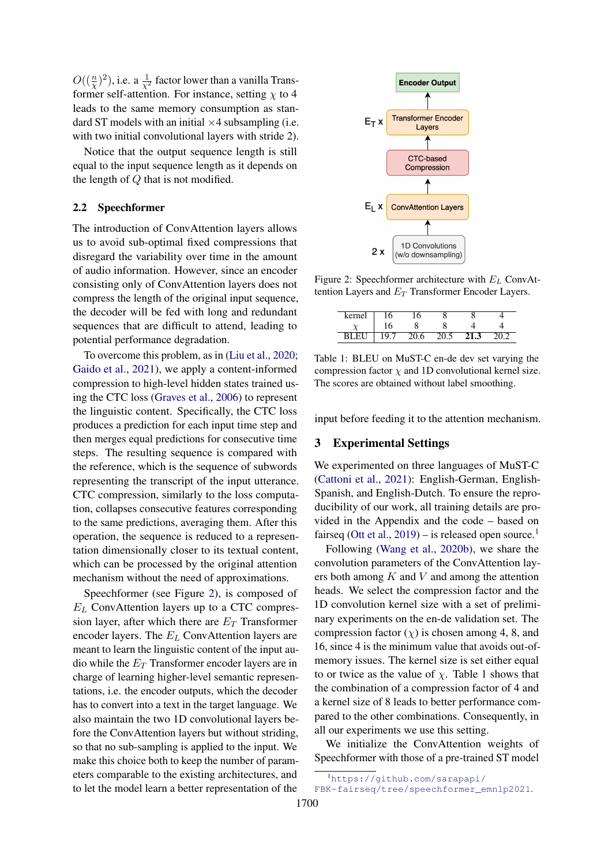$O((\frac{n}{\chi})^2)$ , i.e. a  $\frac{1}{\chi^2}$  factor lower than a vanilla Transformer self-attention. For instance, setting  $\chi$  to 4 leads to the same memory consumption as standard ST models with an initial  $\times$ 4 subsampling (i.e. with two initial convolutional layers with stride 2).

Notice that the output sequence length is still equal to the input sequence length as it depends on the length of Q that is not modified.

#### <span id="page-2-0"></span>2.2 Speechformer

The introduction of ConvAttention layers allows us to avoid sub-optimal fixed compressions that disregard the variability over time in the amount of audio information. However, since an encoder consisting only of ConvAttention layers does not compress the length of the original input sequence, the decoder will be fed with long and redundant sequences that are difficult to attend, leading to potential performance degradation.

To overcome this problem, as in [\(Liu et al.,](#page-5-4) [2020;](#page-5-4) [Gaido et al.,](#page-5-5) [2021\)](#page-5-5), we apply a content-informed compression to high-level hidden states trained using the CTC loss [\(Graves et al.,](#page-5-6) [2006\)](#page-5-6) to represent the linguistic content. Specifically, the CTC loss produces a prediction for each input time step and then merges equal predictions for consecutive time steps. The resulting sequence is compared with the reference, which is the sequence of subwords representing the transcript of the input utterance. CTC compression, similarly to the loss computation, collapses consecutive features corresponding to the same predictions, averaging them. After this operation, the sequence is reduced to a representation dimensionally closer to its textual content, which can be processed by the original attention mechanism without the need of approximations.

Speechformer (see Figure [2\)](#page-2-1), is composed of  $E_L$  ConvAttention layers up to a CTC compression layer, after which there are  $E_T$  Transformer encoder layers. The  $E_L$  ConvAttention layers are meant to learn the linguistic content of the input audio while the  $E_T$  Transformer encoder layers are in charge of learning higher-level semantic representations, i.e. the encoder outputs, which the decoder has to convert into a text in the target language. We also maintain the two 1D convolutional layers before the ConvAttention layers but without striding, so that no sub-sampling is applied to the input. We make this choice both to keep the number of parameters comparable to the existing architectures, and to let the model learn a better representation of the

<span id="page-2-1"></span>

Figure 2: Speechformer architecture with  $E_L$  ConvAttention Layers and  $E_T$  Transformer Encoder Layers.

<span id="page-2-3"></span>

| kernel | 16   | . O  |      |      |      |
|--------|------|------|------|------|------|
|        |      |      |      |      |      |
| BLEU   | 19.7 | 20.6 | 20.5 | 21.3 | 20.2 |

Table 1: BLEU on MuST-C en-de dev set varying the compression factor  $\chi$  and 1D convolutional kernel size. The scores are obtained without label smoothing.

input before feeding it to the attention mechanism.

### 3 Experimental Settings

We experimented on three languages of MuST-C [\(Cattoni et al.,](#page-5-7) [2021\)](#page-5-7): English-German, English-Spanish, and English-Dutch. To ensure the reproducibility of our work, all training details are provided in the Appendix and the code – based on fairseq [\(Ott et al.,](#page-5-8)  $2019$  $2019$  $2019$ ) – is released open source.<sup>1</sup>

Following [\(Wang et al.,](#page-6-9) [2020b\)](#page-6-9), we share the convolution parameters of the ConvAttention layers both among  $K$  and  $V$  and among the attention heads. We select the compression factor and the 1D convolution kernel size with a set of preliminary experiments on the en-de validation set. The compression factor  $(y)$  is chosen among 4, 8, and 16, since 4 is the minimum value that avoids out-ofmemory issues. The kernel size is set either equal to or twice as the value of  $\chi$ . Table [1](#page-2-3) shows that the combination of a compression factor of 4 and a kernel size of 8 leads to better performance compared to the other combinations. Consequently, in all our experiments we use this setting.

We initialize the ConvAttention weights of Speechformer with those of a pre-trained ST model

<span id="page-2-2"></span><sup>1</sup>[https://github.com/sarapapi/](https://github.com/sarapapi/FBK-fairseq/tree/speechformer_emnlp2021)

[FBK-fairseq/tree/speechformer\\_emnlp2021](https://github.com/sarapapi/FBK-fairseq/tree/speechformer_emnlp2021).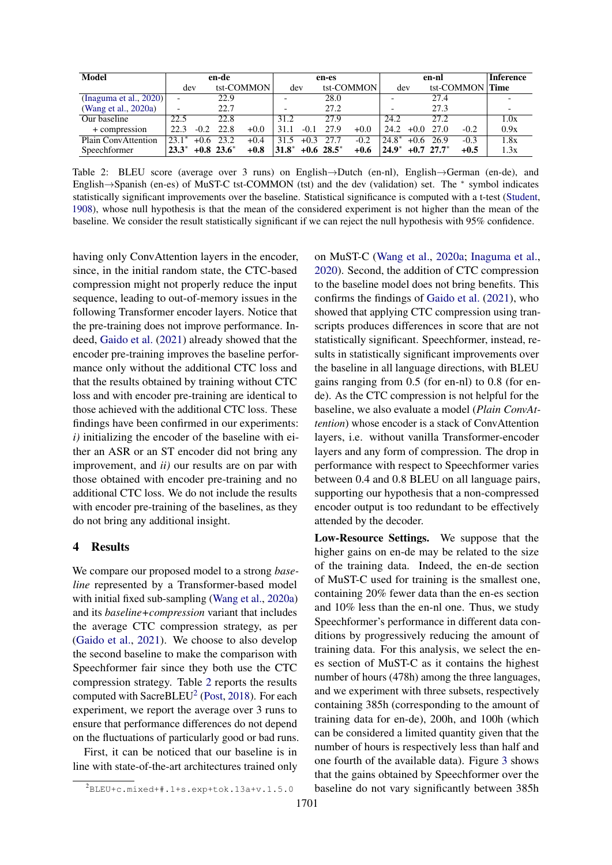<span id="page-3-0"></span>

| Model                     | en-de                    |        |                          | en-es      |         |        | en-nl           |            |         | <b>Inference</b> |                          |                 |      |
|---------------------------|--------------------------|--------|--------------------------|------------|---------|--------|-----------------|------------|---------|------------------|--------------------------|-----------------|------|
|                           | dev                      |        |                          | tst-COMMON | dev     |        |                 | tst-COMMON | dev     |                  |                          | tst-COMMON Time |      |
| (Inaguma et al., $2020$ ) |                          |        | 22.9                     |            |         |        | 28.0            |            |         |                  | 27.4                     |                 |      |
| (Wang et al., 2020a)      | $\overline{\phantom{a}}$ |        | 22.7                     |            |         |        | 27.2            |            |         |                  | 27.3                     |                 |      |
| Our baseline              | 22.5                     |        | 22.8                     |            | 31.2    |        | 27.9            |            | 24.2    |                  | 27.2                     |                 | 1.0x |
| + compression             | 22.3                     | $-0.2$ | 22.8                     | $+0.0$     | 31.1    | $-0.1$ | 27.9            | $+0.0$     | 24.2    | $+0.0$           | 27.0                     | $-0.2$          | 0.9x |
| Plain ConvAttention       | $23.1*$                  | $+0.6$ | 23.2                     | $+0.4$     | 31.5    | $+0.3$ | 27.7            | $-0.2$     | $24.8*$ |                  | $+0.6$ 26.9              | $-0.3$          | 1.8x |
| Speechformer              | $23.3^*$                 |        | $+0.8$ 23.6 <sup>*</sup> | $+0.8$     | $31.8*$ |        | $+0.6 \ 28.5^*$ | $+0.6$     | $24.9*$ |                  | $+0.7$ 27.7 <sup>*</sup> | $+0.5$          | 1.3x |

Table 2: BLEU score (average over 3 runs) on English→Dutch (en-nl), English→German (en-de), and English→Spanish (en-es) of MuST-C tst-COMMON (tst) and the dev (validation) set. The <sup>∗</sup> symbol indicates statistically significant improvements over the baseline. Statistical significance is computed with a t-test [\(Student,](#page-6-10) [1908\)](#page-6-10), whose null hypothesis is that the mean of the considered experiment is not higher than the mean of the baseline. We consider the result statistically significant if we can reject the null hypothesis with 95% confidence.

having only ConvAttention layers in the encoder, since, in the initial random state, the CTC-based compression might not properly reduce the input sequence, leading to out-of-memory issues in the following Transformer encoder layers. Notice that the pre-training does not improve performance. Indeed, [Gaido et al.](#page-5-5) [\(2021\)](#page-5-5) already showed that the encoder pre-training improves the baseline performance only without the additional CTC loss and that the results obtained by training without CTC loss and with encoder pre-training are identical to those achieved with the additional CTC loss. These findings have been confirmed in our experiments: *i)* initializing the encoder of the baseline with either an ASR or an ST encoder did not bring any improvement, and *ii)* our results are on par with those obtained with encoder pre-training and no additional CTC loss. We do not include the results with encoder pre-training of the baselines, as they do not bring any additional insight.

### 4 Results

We compare our proposed model to a strong *baseline* represented by a Transformer-based model with initial fixed sub-sampling [\(Wang et al.,](#page-6-5) [2020a\)](#page-6-5) and its *baseline+compression* variant that includes the average CTC compression strategy, as per [\(Gaido et al.,](#page-5-5) [2021\)](#page-5-5). We choose to also develop the second baseline to make the comparison with Speechformer fair since they both use the CTC compression strategy. Table [2](#page-3-0) reports the results computed with SacreBLEU<sup>[2](#page-3-1)</sup> [\(Post,](#page-6-11) [2018\)](#page-6-11). For each experiment, we report the average over 3 runs to ensure that performance differences do not depend on the fluctuations of particularly good or bad runs.

First, it can be noticed that our baseline is in line with state-of-the-art architectures trained only

<span id="page-3-1"></span> ${}^{2}$ BLEU+c.mixed+#.1+s.exp+tok.13a+v.1.5.0

on MuST-C [\(Wang et al.,](#page-6-5) [2020a;](#page-6-5) [Inaguma et al.,](#page-5-9) [2020\)](#page-5-9). Second, the addition of CTC compression to the baseline model does not bring benefits. This confirms the findings of [Gaido et al.](#page-5-5) [\(2021\)](#page-5-5), who showed that applying CTC compression using transcripts produces differences in score that are not statistically significant. Speechformer, instead, results in statistically significant improvements over the baseline in all language directions, with BLEU gains ranging from 0.5 (for en-nl) to 0.8 (for ende). As the CTC compression is not helpful for the baseline, we also evaluate a model (*Plain ConvAttention*) whose encoder is a stack of ConvAttention layers, i.e. without vanilla Transformer-encoder layers and any form of compression. The drop in performance with respect to Speechformer varies between 0.4 and 0.8 BLEU on all language pairs, supporting our hypothesis that a non-compressed encoder output is too redundant to be effectively attended by the decoder.

Low-Resource Settings. We suppose that the higher gains on en-de may be related to the size of the training data. Indeed, the en-de section of MuST-C used for training is the smallest one, containing 20% fewer data than the en-es section and 10% less than the en-nl one. Thus, we study Speechformer's performance in different data conditions by progressively reducing the amount of training data. For this analysis, we select the enes section of MuST-C as it contains the highest number of hours (478h) among the three languages, and we experiment with three subsets, respectively containing 385h (corresponding to the amount of training data for en-de), 200h, and 100h (which can be considered a limited quantity given that the number of hours is respectively less than half and one fourth of the available data). Figure [3](#page-4-0) shows that the gains obtained by Speechformer over the baseline do not vary significantly between 385h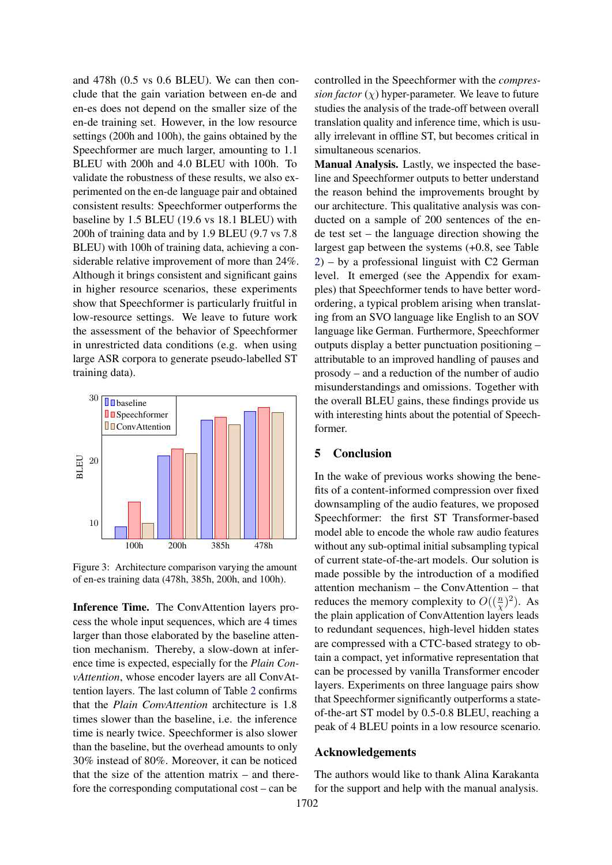and 478h (0.5 vs 0.6 BLEU). We can then conclude that the gain variation between en-de and en-es does not depend on the smaller size of the en-de training set. However, in the low resource settings (200h and 100h), the gains obtained by the Speechformer are much larger, amounting to 1.1 BLEU with 200h and 4.0 BLEU with 100h. To validate the robustness of these results, we also experimented on the en-de language pair and obtained consistent results: Speechformer outperforms the baseline by 1.5 BLEU (19.6 vs 18.1 BLEU) with 200h of training data and by 1.9 BLEU (9.7 vs 7.8 BLEU) with 100h of training data, achieving a considerable relative improvement of more than 24%. Although it brings consistent and significant gains in higher resource scenarios, these experiments show that Speechformer is particularly fruitful in low-resource settings. We leave to future work the assessment of the behavior of Speechformer in unrestricted data conditions (e.g. when using large ASR corpora to generate pseudo-labelled ST training data).

<span id="page-4-0"></span>

Figure 3: Architecture comparison varying the amount of en-es training data (478h, 385h, 200h, and 100h).

Inference Time. The ConvAttention layers process the whole input sequences, which are 4 times larger than those elaborated by the baseline attention mechanism. Thereby, a slow-down at inference time is expected, especially for the *Plain ConvAttention*, whose encoder layers are all ConvAttention layers. The last column of Table [2](#page-3-0) confirms that the *Plain ConvAttention* architecture is 1.8 times slower than the baseline, i.e. the inference time is nearly twice. Speechformer is also slower than the baseline, but the overhead amounts to only 30% instead of 80%. Moreover, it can be noticed that the size of the attention matrix  $-$  and therefore the corresponding computational cost – can be

controlled in the Speechformer with the *compression factor*  $(\chi)$  hyper-parameter. We leave to future studies the analysis of the trade-off between overall translation quality and inference time, which is usually irrelevant in offline ST, but becomes critical in simultaneous scenarios.

Manual Analysis. Lastly, we inspected the baseline and Speechformer outputs to better understand the reason behind the improvements brought by our architecture. This qualitative analysis was conducted on a sample of 200 sentences of the ende test set – the language direction showing the largest gap between the systems (+0.8, see Table [2\)](#page-3-0) – by a professional linguist with C2 German level. It emerged (see the Appendix for examples) that Speechformer tends to have better wordordering, a typical problem arising when translating from an SVO language like English to an SOV language like German. Furthermore, Speechformer outputs display a better punctuation positioning – attributable to an improved handling of pauses and prosody – and a reduction of the number of audio misunderstandings and omissions. Together with the overall BLEU gains, these findings provide us with interesting hints about the potential of Speechformer.

#### 5 Conclusion

In the wake of previous works showing the benefits of a content-informed compression over fixed downsampling of the audio features, we proposed Speechformer: the first ST Transformer-based model able to encode the whole raw audio features without any sub-optimal initial subsampling typical of current state-of-the-art models. Our solution is made possible by the introduction of a modified attention mechanism – the ConvAttention – that reduces the memory complexity to  $O((\frac{n}{\chi})^2)$ . As the plain application of ConvAttention layers leads to redundant sequences, high-level hidden states are compressed with a CTC-based strategy to obtain a compact, yet informative representation that can be processed by vanilla Transformer encoder layers. Experiments on three language pairs show that Speechformer significantly outperforms a stateof-the-art ST model by 0.5-0.8 BLEU, reaching a peak of 4 BLEU points in a low resource scenario.

## Acknowledgements

The authors would like to thank Alina Karakanta for the support and help with the manual analysis.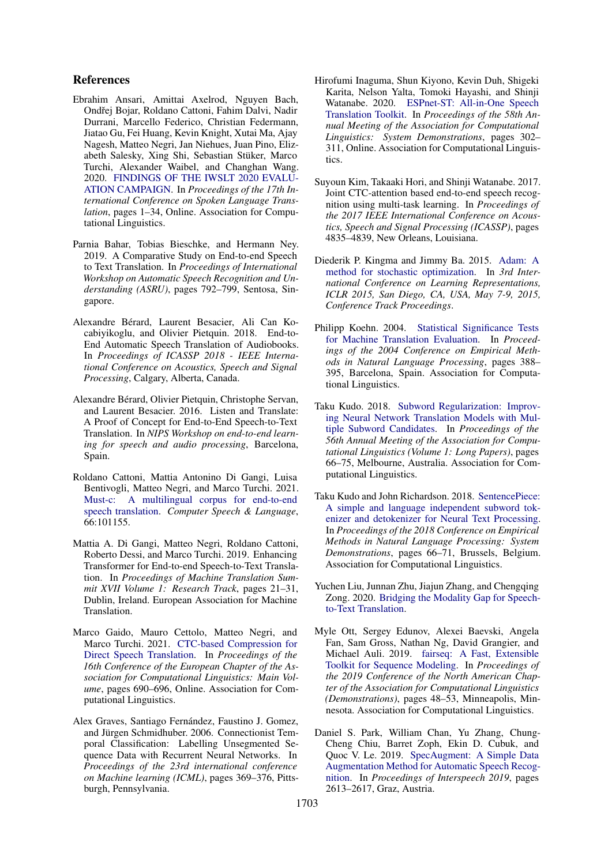#### References

- <span id="page-5-1"></span>Ebrahim Ansari, Amittai Axelrod, Nguyen Bach, Ondřej Bojar, Roldano Cattoni, Fahim Dalvi, Nadir Durrani, Marcello Federico, Christian Federmann, Jiatao Gu, Fei Huang, Kevin Knight, Xutai Ma, Ajay Nagesh, Matteo Negri, Jan Niehues, Juan Pino, Elizabeth Salesky, Xing Shi, Sebastian Stüker, Marco Turchi, Alexander Waibel, and Changhan Wang. 2020. [FINDINGS OF THE IWSLT 2020 EVALU-](https://doi.org/10.18653/v1/2020.iwslt-1.1)[ATION CAMPAIGN.](https://doi.org/10.18653/v1/2020.iwslt-1.1) In *Proceedings of the 17th International Conference on Spoken Language Translation*, pages 1–34, Online. Association for Computational Linguistics.
- <span id="page-5-11"></span>Parnia Bahar, Tobias Bieschke, and Hermann Ney. 2019. A Comparative Study on End-to-end Speech to Text Translation. In *Proceedings of International Workshop on Automatic Speech Recognition and Understanding (ASRU)*, pages 792–799, Sentosa, Singapore.
- <span id="page-5-2"></span>Alexandre Bérard, Laurent Besacier, Ali Can Kocabiyikoglu, and Olivier Pietquin. 2018. End-to-End Automatic Speech Translation of Audiobooks. In *Proceedings of ICASSP 2018 - IEEE International Conference on Acoustics, Speech and Signal Processing*, Calgary, Alberta, Canada.
- <span id="page-5-0"></span>Alexandre Bérard, Olivier Pietquin, Christophe Servan, and Laurent Besacier. 2016. Listen and Translate: A Proof of Concept for End-to-End Speech-to-Text Translation. In *NIPS Workshop on end-to-end learning for speech and audio processing*, Barcelona, Spain.
- <span id="page-5-7"></span>Roldano Cattoni, Mattia Antonino Di Gangi, Luisa Bentivogli, Matteo Negri, and Marco Turchi. 2021. [Must-c: A multilingual corpus for end-to-end](https://doi.org/https://doi.org/10.1016/j.csl.2020.101155) [speech translation.](https://doi.org/https://doi.org/10.1016/j.csl.2020.101155) *Computer Speech & Language*, 66:101155.
- <span id="page-5-3"></span>Mattia A. Di Gangi, Matteo Negri, Roldano Cattoni, Roberto Dessi, and Marco Turchi. 2019. Enhancing Transformer for End-to-end Speech-to-Text Translation. In *Proceedings of Machine Translation Summit XVII Volume 1: Research Track*, pages 21–31, Dublin, Ireland. European Association for Machine Translation.
- <span id="page-5-5"></span>Marco Gaido, Mauro Cettolo, Matteo Negri, and Marco Turchi. 2021. [CTC-based Compression for](https://www.aclweb.org/anthology/2021.eacl-main.57) [Direct Speech Translation.](https://www.aclweb.org/anthology/2021.eacl-main.57) In *Proceedings of the 16th Conference of the European Chapter of the Association for Computational Linguistics: Main Volume*, pages 690–696, Online. Association for Computational Linguistics.
- <span id="page-5-6"></span>Alex Graves, Santiago Fernández, Faustino J. Gomez, and Jürgen Schmidhuber. 2006. Connectionist Temporal Classification: Labelling Unsegmented Sequence Data with Recurrent Neural Networks. In *Proceedings of the 23rd international conference on Machine learning (ICML)*, pages 369–376, Pittsburgh, Pennsylvania.
- <span id="page-5-9"></span>Hirofumi Inaguma, Shun Kiyono, Kevin Duh, Shigeki Karita, Nelson Yalta, Tomoki Hayashi, and Shinji Watanabe. 2020. [ESPnet-ST: All-in-One Speech](https://doi.org/10.18653/v1/2020.acl-demos.34) [Translation Toolkit.](https://doi.org/10.18653/v1/2020.acl-demos.34) In *Proceedings of the 58th Annual Meeting of the Association for Computational Linguistics: System Demonstrations*, pages 302– 311, Online. Association for Computational Linguistics.
- <span id="page-5-10"></span>Suyoun Kim, Takaaki Hori, and Shinji Watanabe. 2017. Joint CTC-attention based end-to-end speech recognition using multi-task learning. In *Proceedings of the 2017 IEEE International Conference on Acoustics, Speech and Signal Processing (ICASSP)*, pages 4835–4839, New Orleans, Louisiana.
- <span id="page-5-12"></span>Diederik P. Kingma and Jimmy Ba. 2015. [Adam: A](http://arxiv.org/abs/1412.6980) [method for stochastic optimization.](http://arxiv.org/abs/1412.6980) In *3rd International Conference on Learning Representations, ICLR 2015, San Diego, CA, USA, May 7-9, 2015, Conference Track Proceedings*.
- <span id="page-5-16"></span>Philipp Koehn. 2004. [Statistical Significance Tests](https://www.aclweb.org/anthology/W04-3250) [for Machine Translation Evaluation.](https://www.aclweb.org/anthology/W04-3250) In *Proceedings of the 2004 Conference on Empirical Methods in Natural Language Processing*, pages 388– 395, Barcelona, Spain. Association for Computational Linguistics.
- <span id="page-5-15"></span>Taku Kudo. 2018. [Subword Regularization: Improv](https://doi.org/10.18653/v1/P18-1007)[ing Neural Network Translation Models with Mul](https://doi.org/10.18653/v1/P18-1007)[tiple Subword Candidates.](https://doi.org/10.18653/v1/P18-1007) In *Proceedings of the 56th Annual Meeting of the Association for Computational Linguistics (Volume 1: Long Papers)*, pages 66–75, Melbourne, Australia. Association for Computational Linguistics.
- <span id="page-5-14"></span>Taku Kudo and John Richardson. 2018. [SentencePiece:](https://doi.org/10.18653/v1/D18-2012) [A simple and language independent subword tok](https://doi.org/10.18653/v1/D18-2012)[enizer and detokenizer for Neural Text Processing.](https://doi.org/10.18653/v1/D18-2012) In *Proceedings of the 2018 Conference on Empirical Methods in Natural Language Processing: System Demonstrations*, pages 66–71, Brussels, Belgium. Association for Computational Linguistics.
- <span id="page-5-4"></span>Yuchen Liu, Junnan Zhu, Jiajun Zhang, and Chengqing Zong. 2020. [Bridging the Modality Gap for Speech](http://arxiv.org/abs/2010.14920)[to-Text Translation.](http://arxiv.org/abs/2010.14920)
- <span id="page-5-8"></span>Myle Ott, Sergey Edunov, Alexei Baevski, Angela Fan, Sam Gross, Nathan Ng, David Grangier, and Michael Auli. 2019. [fairseq: A Fast, Extensible](https://doi.org/10.18653/v1/N19-4009) [Toolkit for Sequence Modeling.](https://doi.org/10.18653/v1/N19-4009) In *Proceedings of the 2019 Conference of the North American Chapter of the Association for Computational Linguistics (Demonstrations)*, pages 48–53, Minneapolis, Minnesota. Association for Computational Linguistics.
- <span id="page-5-13"></span>Daniel S. Park, William Chan, Yu Zhang, Chung-Cheng Chiu, Barret Zoph, Ekin D. Cubuk, and Quoc V. Le. 2019. [SpecAugment: A Simple Data](https://doi.org/10.21437/Interspeech.2019-2680) [Augmentation Method for Automatic Speech Recog](https://doi.org/10.21437/Interspeech.2019-2680)[nition.](https://doi.org/10.21437/Interspeech.2019-2680) In *Proceedings of Interspeech 2019*, pages 2613–2617, Graz, Austria.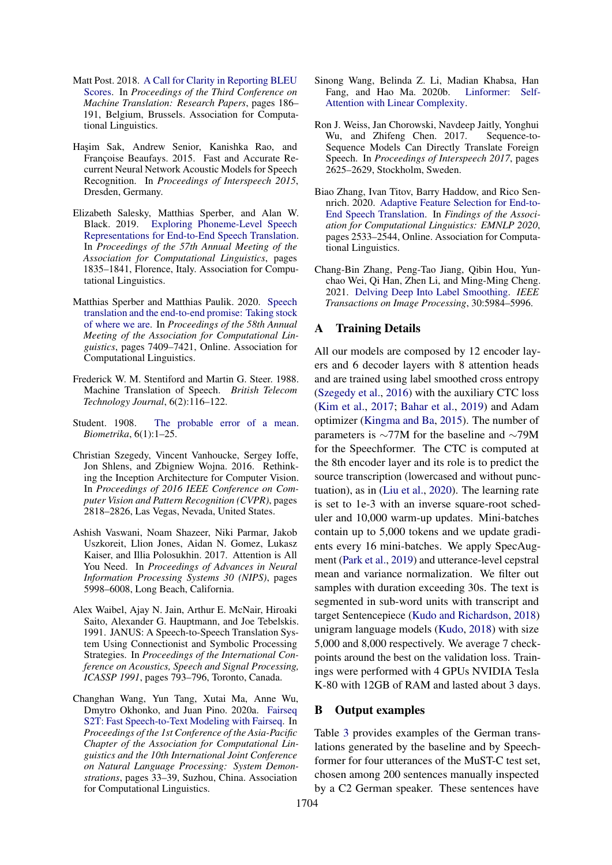- <span id="page-6-11"></span>Matt Post. 2018. [A Call for Clarity in Reporting BLEU](https://www.aclweb.org/anthology/W18-6319) [Scores.](https://www.aclweb.org/anthology/W18-6319) In *Proceedings of the Third Conference on Machine Translation: Research Papers*, pages 186– 191, Belgium, Brussels. Association for Computational Linguistics.
- <span id="page-6-6"></span>Haşim Sak, Andrew Senior, Kanishka Rao, and Françoise Beaufays. 2015. Fast and Accurate Recurrent Neural Network Acoustic Models for Speech Recognition. In *Proceedings of Interspeech 2015*, Dresden, Germany.
- <span id="page-6-7"></span>Elizabeth Salesky, Matthias Sperber, and Alan W. Black. 2019. [Exploring Phoneme-Level Speech](https://doi.org/10.18653/v1/P19-1179) [Representations for End-to-End Speech Translation.](https://doi.org/10.18653/v1/P19-1179) In *Proceedings of the 57th Annual Meeting of the Association for Computational Linguistics*, pages 1835–1841, Florence, Italy. Association for Computational Linguistics.
- <span id="page-6-3"></span>Matthias Sperber and Matthias Paulik. 2020. [Speech](https://doi.org/10.18653/v1/2020.acl-main.661) [translation and the end-to-end promise: Taking stock](https://doi.org/10.18653/v1/2020.acl-main.661) [of where we are.](https://doi.org/10.18653/v1/2020.acl-main.661) In *Proceedings of the 58th Annual Meeting of the Association for Computational Linguistics*, pages 7409–7421, Online. Association for Computational Linguistics.
- <span id="page-6-0"></span>Frederick W. M. Stentiford and Martin G. Steer. 1988. Machine Translation of Speech. *British Telecom Technology Journal*, 6(2):116–122.
- <span id="page-6-10"></span>Student. 1908. [The probable error of a mean.](http://www.jstor.org/stable/2331554) *Biometrika*, 6(1):1–25.
- <span id="page-6-12"></span>Christian Szegedy, Vincent Vanhoucke, Sergey Ioffe, Jon Shlens, and Zbigniew Wojna. 2016. Rethinking the Inception Architecture for Computer Vision. In *Proceedings of 2016 IEEE Conference on Computer Vision and Pattern Recognition (CVPR)*, pages 2818–2826, Las Vegas, Nevada, United States.
- <span id="page-6-4"></span>Ashish Vaswani, Noam Shazeer, Niki Parmar, Jakob Uszkoreit, Llion Jones, Aidan N. Gomez, Lukasz Kaiser, and Illia Polosukhin. 2017. Attention is All You Need. In *Proceedings of Advances in Neural Information Processing Systems 30 (NIPS)*, pages 5998–6008, Long Beach, California.
- <span id="page-6-1"></span>Alex Waibel, Ajay N. Jain, Arthur E. McNair, Hiroaki Saito, Alexander G. Hauptmann, and Joe Tebelskis. 1991. JANUS: A Speech-to-Speech Translation System Using Connectionist and Symbolic Processing Strategies. In *Proceedings of the International Conference on Acoustics, Speech and Signal Processing, ICASSP 1991*, pages 793–796, Toronto, Canada.
- <span id="page-6-5"></span>Changhan Wang, Yun Tang, Xutai Ma, Anne Wu, Dmytro Okhonko, and Juan Pino. 2020a. [Fairseq](https://www.aclweb.org/anthology/2020.aacl-demo.6) [S2T: Fast Speech-to-Text Modeling with Fairseq.](https://www.aclweb.org/anthology/2020.aacl-demo.6) In *Proceedings of the 1st Conference of the Asia-Pacific Chapter of the Association for Computational Linguistics and the 10th International Joint Conference on Natural Language Processing: System Demonstrations*, pages 33–39, Suzhou, China. Association for Computational Linguistics.
- <span id="page-6-9"></span>Sinong Wang, Belinda Z. Li, Madian Khabsa, Han Fang, and Hao Ma. 2020b. [Linformer: Self-](http://arxiv.org/abs/2006.04768)[Attention with Linear Complexity.](http://arxiv.org/abs/2006.04768)
- <span id="page-6-2"></span>Ron J. Weiss, Jan Chorowski, Navdeep Jaitly, Yonghui Wu, and Zhifeng Chen. 2017. Sequence-to-Sequence Models Can Directly Translate Foreign Speech. In *Proceedings of Interspeech 2017*, pages 2625–2629, Stockholm, Sweden.
- <span id="page-6-8"></span>Biao Zhang, Ivan Titov, Barry Haddow, and Rico Sennrich. 2020. [Adaptive Feature Selection for End-to-](https://doi.org/10.18653/v1/2020.findings-emnlp.230)[End Speech Translation.](https://doi.org/10.18653/v1/2020.findings-emnlp.230) In *Findings of the Association for Computational Linguistics: EMNLP 2020*, pages 2533–2544, Online. Association for Computational Linguistics.
- <span id="page-6-13"></span>Chang-Bin Zhang, Peng-Tao Jiang, Qibin Hou, Yunchao Wei, Qi Han, Zhen Li, and Ming-Ming Cheng. 2021. [Delving Deep Into Label Smoothing.](https://doi.org/10.1109/TIP.2021.3089942) *IEEE Transactions on Image Processing*, 30:5984–5996.

### A Training Details

All our models are composed by 12 encoder layers and 6 decoder layers with 8 attention heads and are trained using label smoothed cross entropy [\(Szegedy et al.,](#page-6-12) [2016\)](#page-6-12) with the auxiliary CTC loss [\(Kim et al.,](#page-5-10) [2017;](#page-5-10) [Bahar et al.,](#page-5-11) [2019\)](#page-5-11) and Adam optimizer [\(Kingma and Ba,](#page-5-12) [2015\)](#page-5-12). The number of parameters is ∼77M for the baseline and ∼79M for the Speechformer. The CTC is computed at the 8th encoder layer and its role is to predict the source transcription (lowercased and without punctuation), as in [\(Liu et al.,](#page-5-4) [2020\)](#page-5-4). The learning rate is set to 1e-3 with an inverse square-root scheduler and 10,000 warm-up updates. Mini-batches contain up to 5,000 tokens and we update gradients every 16 mini-batches. We apply SpecAugment [\(Park et al.,](#page-5-13) [2019\)](#page-5-13) and utterance-level cepstral mean and variance normalization. We filter out samples with duration exceeding 30s. The text is segmented in sub-word units with transcript and target Sentencepiece [\(Kudo and Richardson,](#page-5-14) [2018\)](#page-5-14) unigram language models [\(Kudo,](#page-5-15) [2018\)](#page-5-15) with size 5,000 and 8,000 respectively. We average 7 checkpoints around the best on the validation loss. Trainings were performed with 4 GPUs NVIDIA Tesla K-80 with 12GB of RAM and lasted about 3 days.

### B Output examples

Table [3](#page-7-0) provides examples of the German translations generated by the baseline and by Speechformer for four utterances of the MuST-C test set, chosen among 200 sentences manually inspected by a C2 German speaker. These sentences have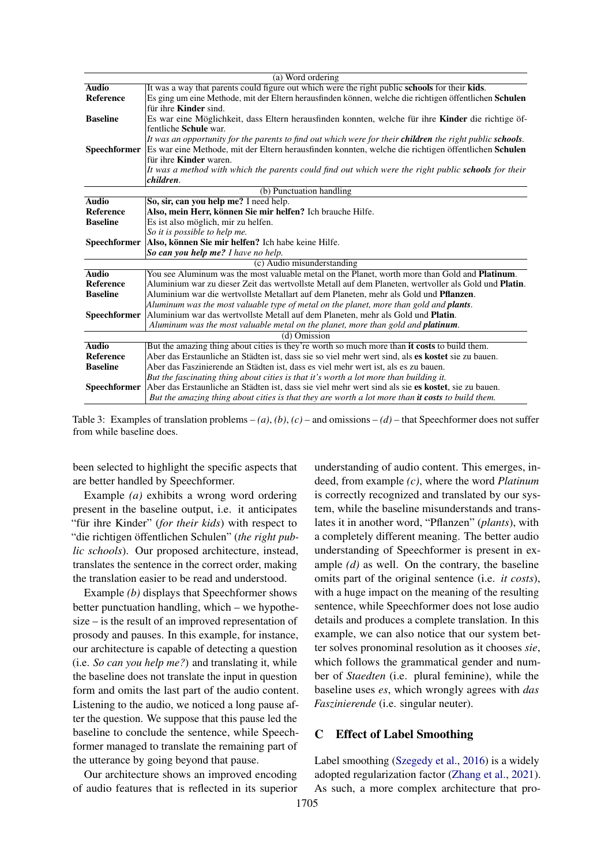<span id="page-7-0"></span>

|                     | (a) Word ordering                                                                                             |  |  |  |  |  |  |  |  |
|---------------------|---------------------------------------------------------------------------------------------------------------|--|--|--|--|--|--|--|--|
| <b>Audio</b>        | It was a way that parents could figure out which were the right public schools for their kids.                |  |  |  |  |  |  |  |  |
| <b>Reference</b>    | Es ging um eine Methode, mit der Eltern herausfinden können, welche die richtigen öffentlichen Schulen        |  |  |  |  |  |  |  |  |
|                     | für ihre <b>Kinder</b> sind.                                                                                  |  |  |  |  |  |  |  |  |
| <b>Baseline</b>     | Es war eine Möglichkeit, dass Eltern herausfinden konnten, welche für ihre Kinder die richtige öf-            |  |  |  |  |  |  |  |  |
|                     | fentliche Schule war.                                                                                         |  |  |  |  |  |  |  |  |
|                     | It was an opportunity for the parents to find out which were for their children the right public schools.     |  |  |  |  |  |  |  |  |
| Speechformer        | Es war eine Methode, mit der Eltern herausfinden konnten, welche die richtigen öffentlichen Schulen           |  |  |  |  |  |  |  |  |
|                     | für ihre <b>Kinder</b> waren.                                                                                 |  |  |  |  |  |  |  |  |
|                     | It was a method with which the parents could find out which were the right public <b>schools</b> for their    |  |  |  |  |  |  |  |  |
|                     | children.                                                                                                     |  |  |  |  |  |  |  |  |
|                     | (b) Punctuation handling                                                                                      |  |  |  |  |  |  |  |  |
| <b>Audio</b>        | So, sir, can you help me? I need help.                                                                        |  |  |  |  |  |  |  |  |
| <b>Reference</b>    | Also, mein Herr, können Sie mir helfen? Ich brauche Hilfe.                                                    |  |  |  |  |  |  |  |  |
| <b>Baseline</b>     | Es ist also möglich, mir zu helfen.                                                                           |  |  |  |  |  |  |  |  |
|                     | So it is possible to help me.                                                                                 |  |  |  |  |  |  |  |  |
| <b>Speechformer</b> | Also, können Sie mir helfen? Ich habe keine Hilfe.                                                            |  |  |  |  |  |  |  |  |
|                     | So can you help me? I have no help.                                                                           |  |  |  |  |  |  |  |  |
|                     | (c) Audio misunderstanding                                                                                    |  |  |  |  |  |  |  |  |
| <b>Audio</b>        | You see Aluminum was the most valuable metal on the Planet, worth more than Gold and <b>Platinum</b> .        |  |  |  |  |  |  |  |  |
| <b>Reference</b>    | Aluminium war zu dieser Zeit das wertvollste Metall auf dem Planeten, wertvoller als Gold und <b>Platin</b> . |  |  |  |  |  |  |  |  |
| <b>Baseline</b>     | Aluminium war die wertvollste Metallart auf dem Planeten, mehr als Gold und <b>Pflanzen</b> .                 |  |  |  |  |  |  |  |  |
|                     | Aluminum was the most valuable type of metal on the planet, more than gold and <b>plants</b> .                |  |  |  |  |  |  |  |  |
| <b>Speechformer</b> | Aluminium war das wertvollste Metall auf dem Planeten, mehr als Gold und <b>Platin</b> .                      |  |  |  |  |  |  |  |  |
|                     | Aluminum was the most valuable metal on the planet, more than gold and <b>platinum</b> .                      |  |  |  |  |  |  |  |  |
|                     | (d) Omission                                                                                                  |  |  |  |  |  |  |  |  |
| <b>Audio</b>        | But the amazing thing about cities is they're worth so much more than it costs to build them.                 |  |  |  |  |  |  |  |  |
| <b>Reference</b>    | Aber das Erstaunliche an Städten ist, dass sie so viel mehr wert sind, als es kostet sie zu bauen.            |  |  |  |  |  |  |  |  |
| <b>Baseline</b>     | Aber das Faszinierende an Städten ist, dass es viel mehr wert ist, als es zu bauen.                           |  |  |  |  |  |  |  |  |
|                     | But the fascinating thing about cities is that it's worth a lot more than building it.                        |  |  |  |  |  |  |  |  |
| <b>Speechformer</b> | Aber das Erstaunliche an Städten ist, dass sie viel mehr wert sind als sie es kostet, sie zu bauen.           |  |  |  |  |  |  |  |  |
|                     | But the amazing thing about cities is that they are worth a lot more than it costs to build them.             |  |  |  |  |  |  |  |  |

Table 3: Examples of translation problems  $-(a)$ ,  $(b)$ ,  $(c)$  – and omissions  $-(d)$  – that Speechformer does not suffer from while baseline does.

been selected to highlight the specific aspects that are better handled by Speechformer.

Example *(a)* exhibits a wrong word ordering present in the baseline output, i.e. it anticipates "für ihre Kinder" (*for their kids*) with respect to "die richtigen öffentlichen Schulen" (*the right public schools*). Our proposed architecture, instead, translates the sentence in the correct order, making the translation easier to be read and understood.

Example *(b)* displays that Speechformer shows better punctuation handling, which – we hypothesize – is the result of an improved representation of prosody and pauses. In this example, for instance, our architecture is capable of detecting a question (i.e. *So can you help me?*) and translating it, while the baseline does not translate the input in question form and omits the last part of the audio content. Listening to the audio, we noticed a long pause after the question. We suppose that this pause led the baseline to conclude the sentence, while Speechformer managed to translate the remaining part of the utterance by going beyond that pause.

Our architecture shows an improved encoding of audio features that is reflected in its superior understanding of audio content. This emerges, indeed, from example *(c)*, where the word *Platinum* is correctly recognized and translated by our system, while the baseline misunderstands and translates it in another word, "Pflanzen" (*plants*), with a completely different meaning. The better audio understanding of Speechformer is present in example *(d)* as well. On the contrary, the baseline omits part of the original sentence (i.e. *it costs*), with a huge impact on the meaning of the resulting sentence, while Speechformer does not lose audio details and produces a complete translation. In this example, we can also notice that our system better solves pronominal resolution as it chooses *sie*, which follows the grammatical gender and number of *Staedten* (i.e. plural feminine), while the baseline uses *es*, which wrongly agrees with *das Faszinierende* (i.e. singular neuter).

## C Effect of Label Smoothing

Label smoothing [\(Szegedy et al.,](#page-6-12) [2016\)](#page-6-12) is a widely adopted regularization factor [\(Zhang et al.,](#page-6-13) [2021\)](#page-6-13). As such, a more complex architecture that pro-